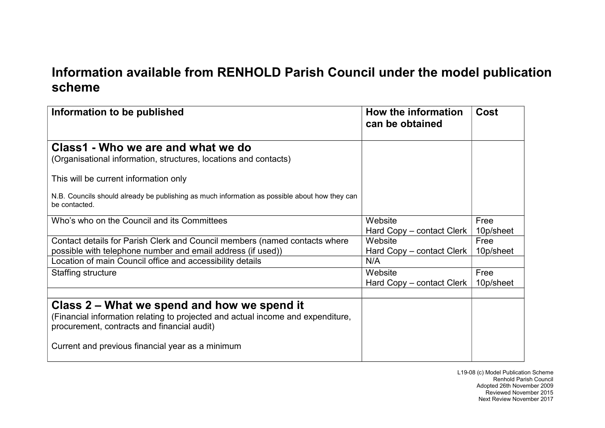## **Information available from RENHOLD Parish Council under the model publicationscheme**

| Information to be published                                                                                                               | How the information<br>can be obtained | Cost              |
|-------------------------------------------------------------------------------------------------------------------------------------------|----------------------------------------|-------------------|
| Class1 - Who we are and what we do<br>(Organisational information, structures, locations and contacts)                                    |                                        |                   |
| This will be current information only                                                                                                     |                                        |                   |
| N.B. Councils should already be publishing as much information as possible about how they can<br>be contacted.                            |                                        |                   |
| Who's who on the Council and its Committees                                                                                               | Website<br>Hard Copy – contact Clerk   | Free<br>10p/sheet |
| Contact details for Parish Clerk and Council members (named contacts where<br>possible with telephone number and email address (if used)) | Website<br>Hard Copy – contact Clerk   | Free<br>10p/sheet |
| Location of main Council office and accessibility details                                                                                 | N/A                                    |                   |
| Staffing structure                                                                                                                        | Website<br>Hard Copy – contact Clerk   | Free<br>10p/sheet |
| Class 2 – What we spend and how we spend it                                                                                               |                                        |                   |
| (Financial information relating to projected and actual income and expenditure,<br>procurement, contracts and financial audit)            |                                        |                   |
| Current and previous financial year as a minimum                                                                                          |                                        |                   |

L19-08 (c) Model Publication Scheme Renhold Parish Council Adopted 26th November 2009 Reviewed November 2015Next Review November 2017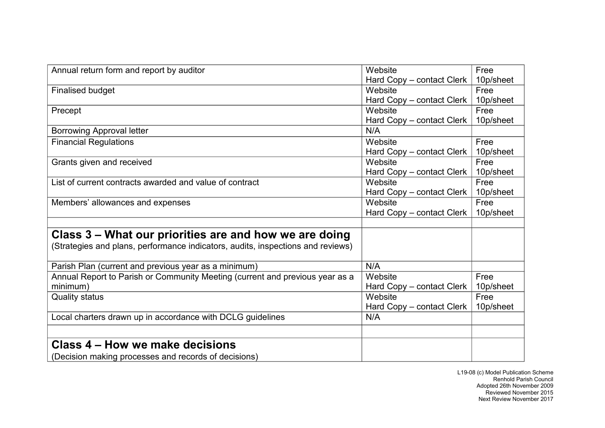| Annual return form and report by auditor                                        | Website                   | Free      |
|---------------------------------------------------------------------------------|---------------------------|-----------|
|                                                                                 | Hard Copy – contact Clerk | 10p/sheet |
| <b>Finalised budget</b>                                                         | Website                   | Free      |
|                                                                                 | Hard Copy - contact Clerk | 10p/sheet |
| Precept                                                                         | Website                   | Free      |
|                                                                                 | Hard Copy - contact Clerk | 10p/sheet |
| <b>Borrowing Approval letter</b>                                                | N/A                       |           |
| <b>Financial Regulations</b>                                                    | Website                   | Free      |
|                                                                                 | Hard Copy – contact Clerk | 10p/sheet |
| Grants given and received                                                       | Website                   | Free      |
|                                                                                 | Hard Copy - contact Clerk | 10p/sheet |
| List of current contracts awarded and value of contract                         | Website                   | Free      |
|                                                                                 | Hard Copy - contact Clerk | 10p/sheet |
| Members' allowances and expenses                                                | Website                   | Free      |
|                                                                                 | Hard Copy – contact Clerk | 10p/sheet |
|                                                                                 |                           |           |
| Class 3 – What our priorities are and how we are doing                          |                           |           |
| (Strategies and plans, performance indicators, audits, inspections and reviews) |                           |           |
| Parish Plan (current and previous year as a minimum)                            | N/A                       |           |
| Annual Report to Parish or Community Meeting (current and previous year as a    | Website                   | Free      |
| minimum)                                                                        | Hard Copy - contact Clerk | 10p/sheet |
| <b>Quality status</b>                                                           | Website                   | Free      |
|                                                                                 | Hard Copy – contact Clerk | 10p/sheet |
| Local charters drawn up in accordance with DCLG guidelines                      | N/A                       |           |
|                                                                                 |                           |           |
| Class 4 – How we make decisions                                                 |                           |           |
| (Decision making processes and records of decisions)                            |                           |           |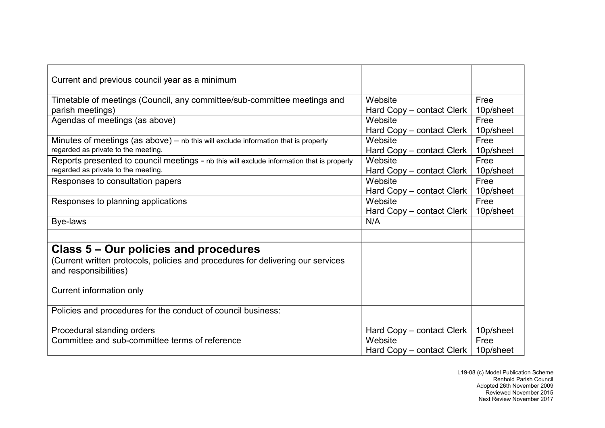| Current and previous council year as a minimum                                                           |                                                                   |                                |
|----------------------------------------------------------------------------------------------------------|-------------------------------------------------------------------|--------------------------------|
| Timetable of meetings (Council, any committee/sub-committee meetings and                                 | Website                                                           | Free                           |
| parish meetings)                                                                                         | Hard Copy - contact Clerk                                         | 10p/sheet                      |
| Agendas of meetings (as above)                                                                           | Website                                                           | Free                           |
|                                                                                                          | Hard Copy – contact Clerk                                         | 10p/sheet                      |
| Minutes of meetings (as above) $-$ nb this will exclude information that is properly                     | Website                                                           | Free                           |
| regarded as private to the meeting.                                                                      | Hard Copy – contact Clerk                                         | 10p/sheet                      |
| Reports presented to council meetings - nb this will exclude information that is properly                | Website                                                           | Free                           |
| regarded as private to the meeting.                                                                      | Hard Copy - contact Clerk                                         | 10p/sheet                      |
| Responses to consultation papers                                                                         | Website                                                           | Free                           |
|                                                                                                          | Hard Copy - contact Clerk                                         | 10p/sheet                      |
| Responses to planning applications                                                                       | Website                                                           | Free                           |
|                                                                                                          | Hard Copy – contact Clerk                                         | 10p/sheet                      |
| Bye-laws                                                                                                 | N/A                                                               |                                |
|                                                                                                          |                                                                   |                                |
| Class 5 – Our policies and procedures                                                                    |                                                                   |                                |
| (Current written protocols, policies and procedures for delivering our services<br>and responsibilities) |                                                                   |                                |
| Current information only                                                                                 |                                                                   |                                |
| Policies and procedures for the conduct of council business:                                             |                                                                   |                                |
| Procedural standing orders<br>Committee and sub-committee terms of reference                             | Hard Copy – contact Clerk<br>Website<br>Hard Copy – contact Clerk | 10p/sheet<br>Free<br>10p/sheet |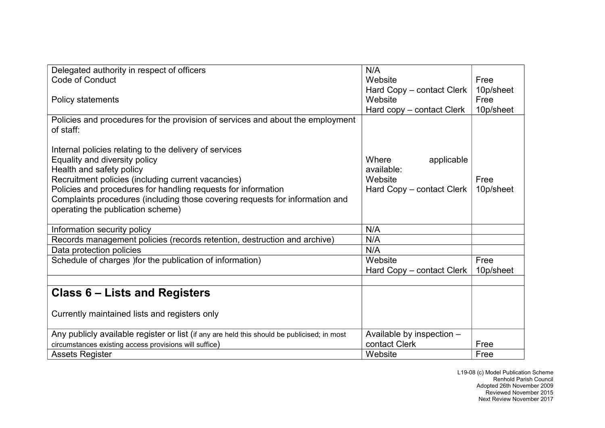| Delegated authority in respect of officers                                                  | N/A                       |           |
|---------------------------------------------------------------------------------------------|---------------------------|-----------|
| <b>Code of Conduct</b>                                                                      | Website                   | Free      |
|                                                                                             | Hard Copy – contact Clerk | 10p/sheet |
| <b>Policy statements</b>                                                                    | Website                   | Free      |
|                                                                                             | Hard copy - contact Clerk | 10p/sheet |
| Policies and procedures for the provision of services and about the employment<br>of staff: |                           |           |
| Internal policies relating to the delivery of services                                      |                           |           |
| Equality and diversity policy                                                               | Where<br>applicable       |           |
| Health and safety policy                                                                    | available:                |           |
| Recruitment policies (including current vacancies)                                          | Website                   | Free      |
| Policies and procedures for handling requests for information                               | Hard Copy – contact Clerk | 10p/sheet |
| Complaints procedures (including those covering requests for information and                |                           |           |
| operating the publication scheme)                                                           |                           |           |
|                                                                                             |                           |           |
| Information security policy                                                                 | N/A                       |           |
| Records management policies (records retention, destruction and archive)                    | N/A                       |           |
| Data protection policies                                                                    | N/A                       |           |
| Schedule of charges ) for the publication of information)                                   | Website                   | Free      |
|                                                                                             | Hard Copy – contact Clerk | 10p/sheet |
|                                                                                             |                           |           |
| Class 6 – Lists and Registers                                                               |                           |           |
| Currently maintained lists and registers only                                               |                           |           |
| Any publicly available register or list (if any are held this should be publicised; in most | Available by inspection - |           |
| circumstances existing access provisions will suffice)                                      | contact Clerk             | Free      |
| <b>Assets Register</b>                                                                      | Website                   | Free      |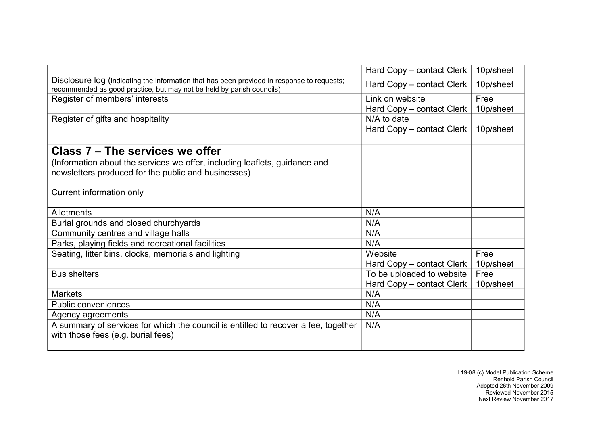|                                                                                                                                                                     | Hard Copy – contact Clerk | 10p/sheet |
|---------------------------------------------------------------------------------------------------------------------------------------------------------------------|---------------------------|-----------|
| Disclosure log (indicating the information that has been provided in response to requests;<br>recommended as good practice, but may not be held by parish councils) | Hard Copy – contact Clerk | 10p/sheet |
| Register of members' interests                                                                                                                                      | Link on website           | Free      |
|                                                                                                                                                                     | Hard Copy - contact Clerk | 10p/sheet |
| Register of gifts and hospitality                                                                                                                                   | N/A to date               |           |
|                                                                                                                                                                     | Hard Copy – contact Clerk | 10p/sheet |
|                                                                                                                                                                     |                           |           |
| Class 7 – The services we offer                                                                                                                                     |                           |           |
| (Information about the services we offer, including leaflets, guidance and                                                                                          |                           |           |
| newsletters produced for the public and businesses)                                                                                                                 |                           |           |
|                                                                                                                                                                     |                           |           |
| Current information only                                                                                                                                            |                           |           |
|                                                                                                                                                                     |                           |           |
| Allotments                                                                                                                                                          | N/A                       |           |
| Burial grounds and closed churchyards                                                                                                                               | N/A                       |           |
| Community centres and village halls                                                                                                                                 | N/A                       |           |
| Parks, playing fields and recreational facilities                                                                                                                   | N/A                       |           |
| Seating, litter bins, clocks, memorials and lighting                                                                                                                | Website                   | Free      |
|                                                                                                                                                                     | Hard Copy – contact Clerk | 10p/sheet |
| <b>Bus shelters</b>                                                                                                                                                 | To be uploaded to website | Free      |
|                                                                                                                                                                     | Hard Copy - contact Clerk | 10p/sheet |
| <b>Markets</b>                                                                                                                                                      | N/A                       |           |
| <b>Public conveniences</b>                                                                                                                                          | N/A                       |           |
| Agency agreements                                                                                                                                                   | N/A                       |           |
| A summary of services for which the council is entitled to recover a fee, together                                                                                  | N/A                       |           |
| with those fees (e.g. burial fees)                                                                                                                                  |                           |           |
|                                                                                                                                                                     |                           |           |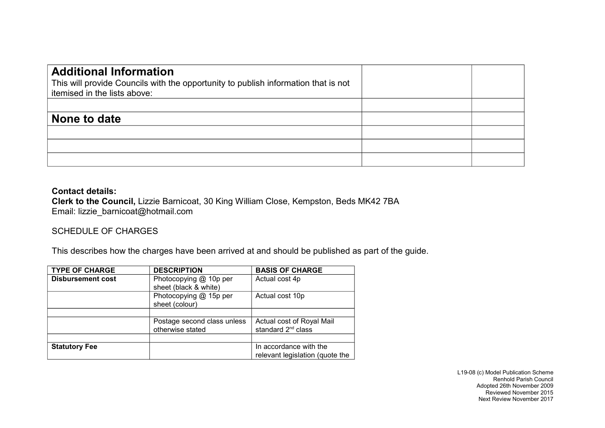| <b>Additional Information</b><br>This will provide Councils with the opportunity to publish information that is not<br>itemised in the lists above: |  |
|-----------------------------------------------------------------------------------------------------------------------------------------------------|--|
|                                                                                                                                                     |  |
| None to date                                                                                                                                        |  |
|                                                                                                                                                     |  |
|                                                                                                                                                     |  |
|                                                                                                                                                     |  |

## **Contact details:**

 **Clerk to the Council,** Lizzie Barnicoat, 30 King William Close, Kempston, Beds MK42 7BAEmail: lizzie\_barnicoat@hotmail.com

## SCHEDULE OF CHARGES

This describes how the charges have been arrived at and should be published as part of the guide.

| <b>TYPE OF CHARGE</b>    | <b>DESCRIPTION</b>                              | <b>BASIS OF CHARGE</b>                                      |
|--------------------------|-------------------------------------------------|-------------------------------------------------------------|
| <b>Disbursement cost</b> | Photocopying @ 10p per<br>sheet (black & white) | Actual cost 4p                                              |
|                          | Photocopying @ 15p per<br>sheet (colour)        | Actual cost 10p                                             |
|                          |                                                 |                                                             |
|                          | Postage second class unless<br>otherwise stated | Actual cost of Royal Mail<br>standard 2 <sup>nd</sup> class |
|                          |                                                 |                                                             |
| <b>Statutory Fee</b>     |                                                 | In accordance with the                                      |
|                          |                                                 | relevant legislation (quote the                             |